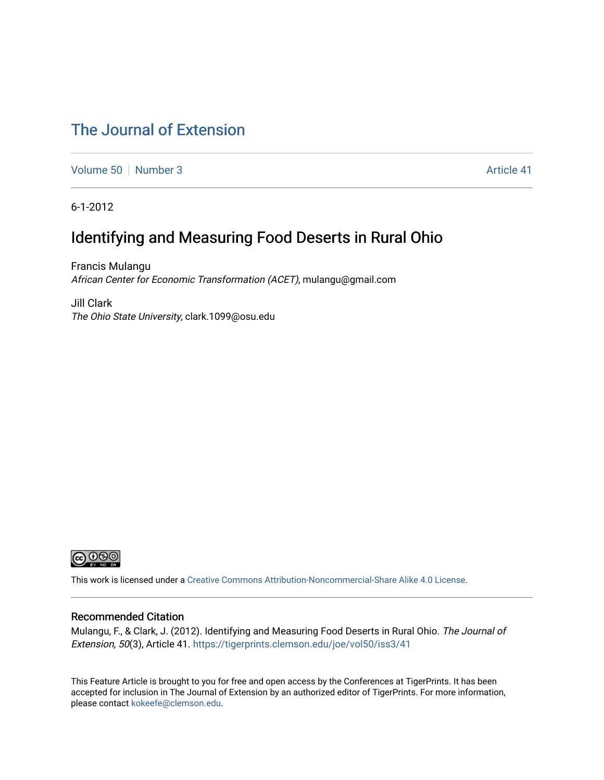# [The Journal of Extension](https://tigerprints.clemson.edu/joe)

[Volume 50](https://tigerprints.clemson.edu/joe/vol50) [Number 3](https://tigerprints.clemson.edu/joe/vol50/iss3) Article 41

6-1-2012

# Identifying and Measuring Food Deserts in Rural Ohio

Francis Mulangu African Center for Economic Transformation (ACET), mulangu@gmail.com

Jill Clark The Ohio State University, clark.1099@osu.edu



This work is licensed under a [Creative Commons Attribution-Noncommercial-Share Alike 4.0 License.](https://creativecommons.org/licenses/by-nc-sa/4.0/)

#### Recommended Citation

Mulangu, F., & Clark, J. (2012). Identifying and Measuring Food Deserts in Rural Ohio. The Journal of Extension, 50(3), Article 41. <https://tigerprints.clemson.edu/joe/vol50/iss3/41>

This Feature Article is brought to you for free and open access by the Conferences at TigerPrints. It has been accepted for inclusion in The Journal of Extension by an authorized editor of TigerPrints. For more information, please contact [kokeefe@clemson.edu](mailto:kokeefe@clemson.edu).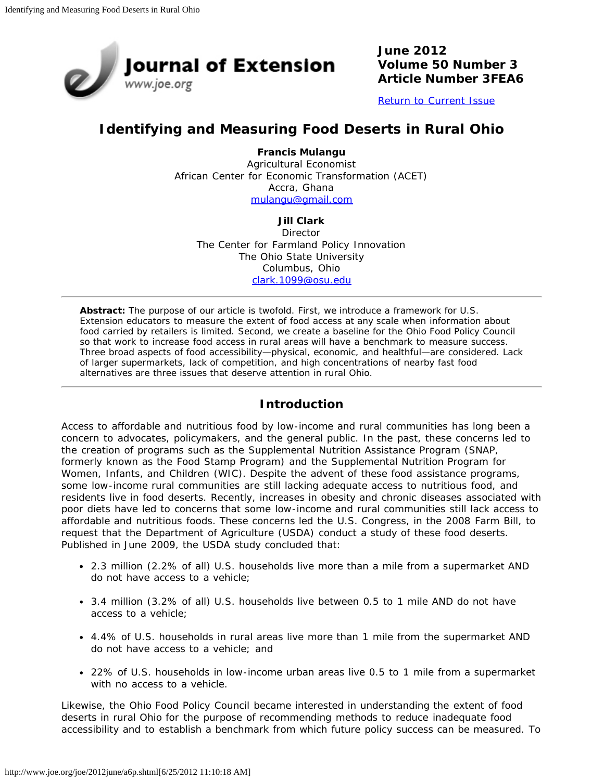

**June 2012 Volume 50 Number 3 Article Number 3FEA6**

[Return to Current Issue](http://www.joe.org/joe/2012june/)

## **Identifying and Measuring Food Deserts in Rural Ohio**

**Francis Mulangu** Agricultural Economist African Center for Economic Transformation (ACET) Accra, Ghana [mulangu@gmail.com](mailto:mulangu@gmail.com)

#### **Jill Clark**

**Director** The Center for Farmland Policy Innovation The Ohio State University Columbus, Ohio [clark.1099@osu.edu](mailto:clark.1099@osu.edu)

*Abstract: The purpose of our article is twofold. First, we introduce a framework for U.S. Extension educators to measure the extent of food access at any scale when information about food carried by retailers is limited. Second, we create a baseline for the Ohio Food Policy Council so that work to increase food access in rural areas will have a benchmark to measure success. Three broad aspects of food accessibility—physical, economic, and healthful—are considered. Lack of larger supermarkets, lack of competition, and high concentrations of nearby fast food alternatives are three issues that deserve attention in rural Ohio.*

### **Introduction**

Access to affordable and nutritious food by low-income and rural communities has long been a concern to advocates, policymakers, and the general public. In the past, these concerns led to the creation of programs such as the Supplemental Nutrition Assistance Program (SNAP, formerly known as the Food Stamp Program) and the Supplemental Nutrition Program for Women, Infants, and Children (WIC). Despite the advent of these food assistance programs, some low-income rural communities are still lacking adequate access to nutritious food, and residents live in food deserts. Recently, increases in obesity and chronic diseases associated with poor diets have led to concerns that some low-income and rural communities still lack access to affordable and nutritious foods. These concerns led the U.S. Congress, in the 2008 Farm Bill, to request that the Department of Agriculture (USDA) conduct a study of these food deserts. Published in June 2009, the USDA study concluded that:

- 2.3 million (2.2% of all) U.S. households live more than a mile from a supermarket AND do not have access to a vehicle;
- 3.4 million (3.2% of all) U.S. households live between 0.5 to 1 mile AND do not have access to a vehicle;
- 4.4% of U.S. households in rural areas live more than 1 mile from the supermarket AND do not have access to a vehicle; and
- 22% of U.S. households in low-income urban areas live 0.5 to 1 mile from a supermarket with no access to a vehicle.

Likewise, the Ohio Food Policy Council became interested in understanding the extent of food deserts in rural Ohio for the purpose of recommending methods to reduce inadequate food accessibility and to establish a benchmark from which future policy success can be measured. To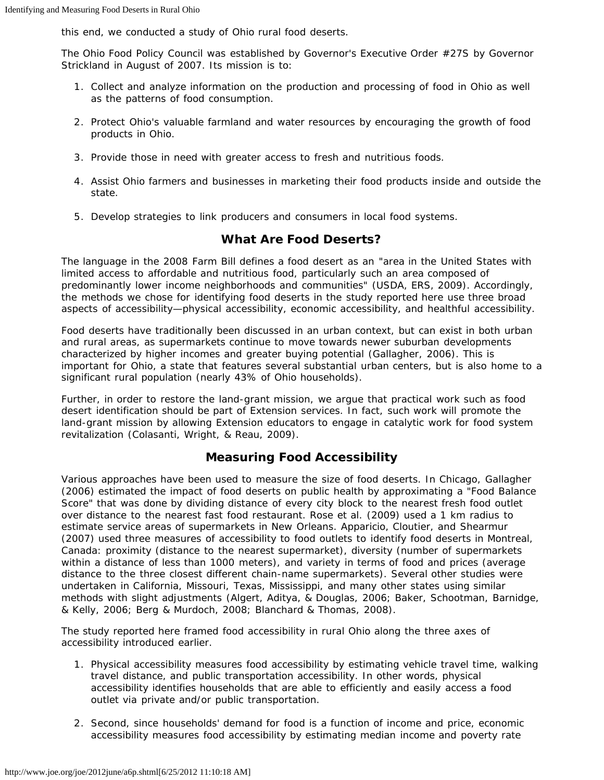this end, we conducted a study of Ohio rural food deserts.

The Ohio Food Policy Council was established by Governor's Executive Order #27S by Governor Strickland in August of 2007. Its mission is to:

- 1. Collect and analyze information on the production and processing of food in Ohio as well as the patterns of food consumption.
- 2. Protect Ohio's valuable farmland and water resources by encouraging the growth of food products in Ohio.
- 3. Provide those in need with greater access to fresh and nutritious foods.
- 4. Assist Ohio farmers and businesses in marketing their food products inside and outside the state.
- 5. Develop strategies to link producers and consumers in local food systems.

### **What Are Food Deserts?**

The language in the 2008 Farm Bill defines a food desert as an "area in the United States with limited access to affordable and nutritious food, particularly such an area composed of predominantly lower income neighborhoods and communities" (USDA, ERS, 2009). Accordingly, the methods we chose for identifying food deserts in the study reported here use three broad aspects of accessibility—physical accessibility, economic accessibility, and healthful accessibility.

Food deserts have traditionally been discussed in an urban context, but can exist in both urban and rural areas, as supermarkets continue to move towards newer suburban developments characterized by higher incomes and greater buying potential (Gallagher, 2006). This is important for Ohio, a state that features several substantial urban centers, but is also home to a significant rural population (nearly 43% of Ohio households).

Further, in order to restore the land-grant mission, we argue that practical work such as food desert identification should be part of Extension services. In fact, such work will promote the land-grant mission by allowing Extension educators to engage in catalytic work for food system revitalization (Colasanti, Wright, & Reau, 2009).

## **Measuring Food Accessibility**

Various approaches have been used to measure the size of food deserts. In Chicago, Gallagher (2006) estimated the impact of food deserts on public health by approximating a "Food Balance Score" that was done by dividing distance of every city block to the nearest fresh food outlet over distance to the nearest fast food restaurant. Rose et al. (2009) used a 1 km radius to estimate service areas of supermarkets in New Orleans. Apparicio, Cloutier, and Shearmur (2007) used three measures of accessibility to food outlets to identify food deserts in Montreal, Canada: proximity (distance to the nearest supermarket), diversity (number of supermarkets within a distance of less than 1000 meters), and variety in terms of food and prices (average distance to the three closest different chain-name supermarkets). Several other studies were undertaken in California, Missouri, Texas, Mississippi, and many other states using similar methods with slight adjustments (Algert, Aditya, & Douglas, 2006; Baker, Schootman, Barnidge, & Kelly, 2006; Berg & Murdoch, 2008; Blanchard & Thomas, 2008).

The study reported here framed food accessibility in rural Ohio along the three axes of accessibility introduced earlier.

- 1. Physical accessibility measures food accessibility by estimating vehicle travel time, walking travel distance, and public transportation accessibility. In other words, physical accessibility identifies households that are able to efficiently and easily access a food outlet via private and/or public transportation.
- 2. Second, since households' demand for food is a function of income and price, economic accessibility measures food accessibility by estimating median income and poverty rate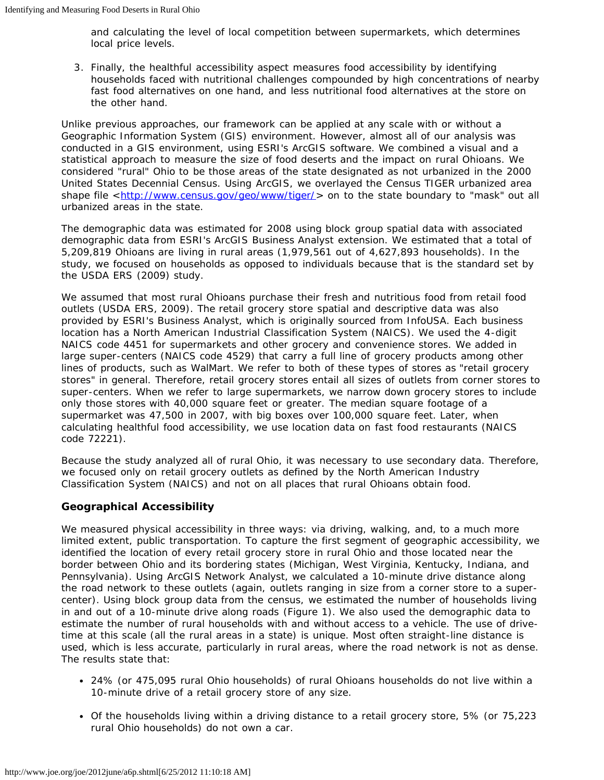and calculating the level of local competition between supermarkets, which determines local price levels.

3. Finally, the healthful accessibility aspect measures food accessibility by identifying households faced with nutritional challenges compounded by high concentrations of nearby fast food alternatives on one hand, and less nutritional food alternatives at the store on the other hand.

Unlike previous approaches, our framework can be applied at any scale with or without a Geographic Information System (GIS) environment. However, almost all of our analysis was conducted in a GIS environment, using ESRI's ArcGIS software. We combined a visual and a statistical approach to measure the size of food deserts and the impact on rural Ohioans. We considered "rural" Ohio to be those areas of the state designated as not urbanized in the 2000 United States Decennial Census. Using ArcGIS, we overlayed the Census TIGER urbanized area shape file <<http://www.census.gov/geo/www/tiger/>> on to the state boundary to "mask" out all urbanized areas in the state.

The demographic data was estimated for 2008 using block group spatial data with associated demographic data from ESRI's ArcGIS Business Analyst extension. We estimated that a total of 5,209,819 Ohioans are living in rural areas (1,979,561 out of 4,627,893 households). In the study, we focused on households as opposed to individuals because that is the standard set by the USDA ERS (2009) study.

We assumed that most rural Ohioans purchase their fresh and nutritious food from retail food outlets (USDA ERS, 2009). The retail grocery store spatial and descriptive data was also provided by ESRI's Business Analyst, which is originally sourced from InfoUSA. Each business location has a North American Industrial Classification System (NAICS). We used the 4-digit NAICS code 4451 for supermarkets and other grocery and convenience stores. We added in large super-centers (NAICS code 4529) that carry a full line of grocery products among other lines of products, such as WalMart. We refer to both of these types of stores as "retail grocery stores" in general. Therefore, retail grocery stores entail all sizes of outlets from corner stores to super-centers. When we refer to large supermarkets, we narrow down grocery stores to include only those stores with 40,000 square feet or greater. The median square footage of a supermarket was 47,500 in 2007, with big boxes over 100,000 square feet. Later, when calculating healthful food accessibility, we use location data on fast food restaurants (NAICS code 72221).

Because the study analyzed all of rural Ohio, it was necessary to use secondary data. Therefore, we focused only on retail grocery outlets as defined by the North American Industry Classification System (NAICS) and not on all places that rural Ohioans obtain food.

### **Geographical Accessibility**

We measured physical accessibility in three ways: via driving, walking, and, to a much more limited extent, public transportation. To capture the first segment of geographic accessibility, we identified the location of every retail grocery store in rural Ohio and those located near the border between Ohio and its bordering states (Michigan, West Virginia, Kentucky, Indiana, and Pennsylvania). Using ArcGIS Network Analyst, we calculated a 10-minute drive distance along the road network to these outlets (again, outlets ranging in size from a corner store to a supercenter). Using block group data from the census, we estimated the number of households living in and out of a 10-minute drive along roads (Figure 1). We also used the demographic data to estimate the number of rural households with and without access to a vehicle. The use of drivetime at this scale (all the rural areas in a state) is unique. Most often straight-line distance is used, which is less accurate, particularly in rural areas, where the road network is not as dense. The results state that:

- 24% (or 475,095 rural Ohio households) of rural Ohioans households do not live within a 10-minute drive of a retail grocery store of any size.
- Of the households living within a driving distance to a retail grocery store, 5% (or 75,223 rural Ohio households) do not own a car.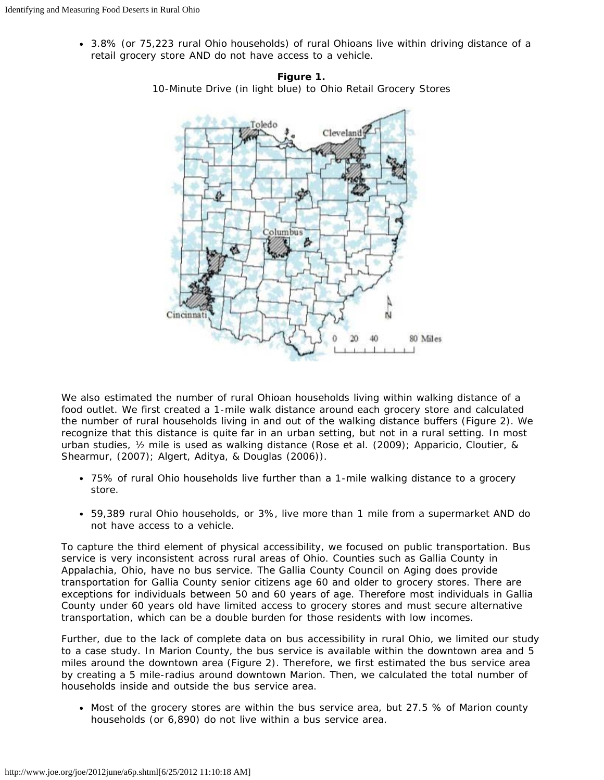3.8% (or 75,223 rural Ohio households) of rural Ohioans live within driving distance of a retail grocery store AND do not have access to a vehicle.





We also estimated the number of rural Ohioan households living within walking distance of a food outlet. We first created a 1-mile walk distance around each grocery store and calculated the number of rural households living in and out of the walking distance buffers (Figure 2). We recognize that this distance is quite far in an urban setting, but not in a rural setting. In most urban studies, ½ mile is used as walking distance (Rose et al. (2009); Apparicio, Cloutier, & Shearmur, (2007); Algert, Aditya, & Douglas (2006)).

- 75% of rural Ohio households live further than a 1-mile walking distance to a grocery store.
- 59,389 rural Ohio households, or 3%, live more than 1 mile from a supermarket AND do not have access to a vehicle.

To capture the third element of physical accessibility, we focused on public transportation. Bus service is very inconsistent across rural areas of Ohio. Counties such as Gallia County in Appalachia, Ohio, have no bus service. The Gallia County Council on Aging does provide transportation for Gallia County senior citizens age 60 and older to grocery stores. There are exceptions for individuals between 50 and 60 years of age. Therefore most individuals in Gallia County under 60 years old have limited access to grocery stores and must secure alternative transportation, which can be a double burden for those residents with low incomes.

Further, due to the lack of complete data on bus accessibility in rural Ohio, we limited our study to a case study. In Marion County, the bus service is available within the downtown area and 5 miles around the downtown area (Figure 2). Therefore, we first estimated the bus service area by creating a 5 mile-radius around downtown Marion. Then, we calculated the total number of households inside and outside the bus service area.

• Most of the grocery stores are within the bus service area, but 27.5 % of Marion county households (or 6,890) do not live within a bus service area.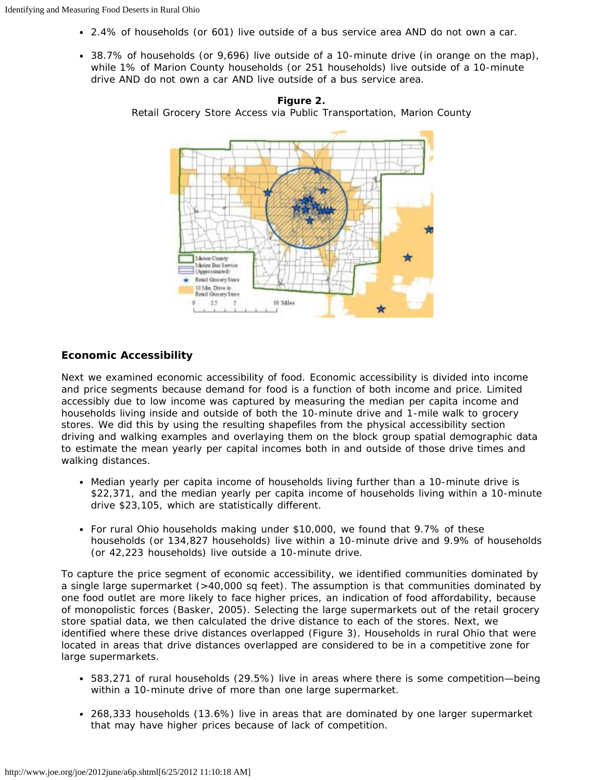- 2.4% of households (or 601) live outside of a bus service area AND do not own a car.
- 38.7% of households (or 9,696) live outside of a 10-minute drive (in orange on the map), while 1% of Marion County households (or 251 households) live outside of a 10-minute drive AND do not own a car AND live outside of a bus service area.



**Figure 2.** Retail Grocery Store Access via Public Transportation, Marion County

#### **Economic Accessibility**

Next we examined economic accessibility of food. Economic accessibility is divided into income and price segments because demand for food is a function of both income and price. Limited accessibly due to low income was captured by measuring the median per capita income and households living inside and outside of both the 10-minute drive and 1-mile walk to grocery stores. We did this by using the resulting shapefiles from the physical accessibility section driving and walking examples and overlaying them on the block group spatial demographic data to estimate the mean yearly per capital incomes both in and outside of those drive times and walking distances.

- Median yearly per capita income of households living further than a 10-minute drive is \$22,371, and the median yearly per capita income of households living within a 10-minute drive \$23,105, which are statistically different.
- For rural Ohio households making under \$10,000, we found that 9.7% of these households (or 134,827 households) live within a 10-minute drive and 9.9% of households (or 42,223 households) live outside a 10-minute drive.

To capture the price segment of economic accessibility, we identified communities dominated by a single large supermarket (>40,000 sq feet). The assumption is that communities dominated by one food outlet are more likely to face higher prices, an indication of food affordability, because of monopolistic forces (Basker, 2005). Selecting the large supermarkets out of the retail grocery store spatial data, we then calculated the drive distance to each of the stores. Next, we identified where these drive distances overlapped (Figure 3). Households in rural Ohio that were located in areas that drive distances overlapped are considered to be in a competitive zone for large supermarkets.

- 583,271 of rural households (29.5%) live in areas where there is some competition—being within a 10-minute drive of more than one large supermarket.
- 268,333 households (13.6%) live in areas that are dominated by one larger supermarket that may have higher prices because of lack of competition.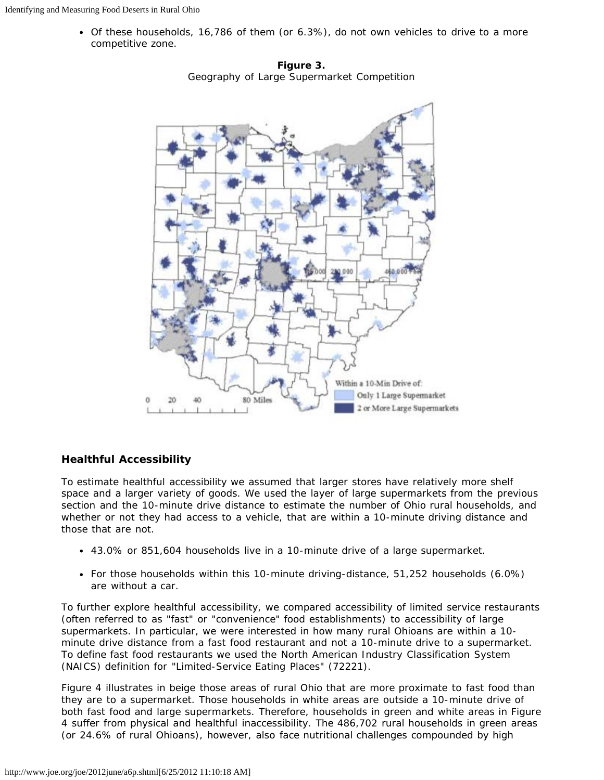Of these households, 16,786 of them (or 6.3%), do not own vehicles to drive to a more competitive zone.



**Figure 3.** Geography of Large Supermarket Competition

#### **Healthful Accessibility**

To estimate healthful accessibility we assumed that larger stores have relatively more shelf space and a larger variety of goods. We used the layer of large supermarkets from the previous section and the 10-minute drive distance to estimate the number of Ohio rural households, and whether or not they had access to a vehicle, that are within a 10-minute driving distance and those that are not.

- 43.0% or 851,604 households live in a 10-minute drive of a large supermarket.
- For those households within this 10-minute driving-distance, 51,252 households (6.0%) are without a car.

To further explore healthful accessibility, we compared accessibility of limited service restaurants (often referred to as "fast" or "convenience" food establishments) to accessibility of large supermarkets. In particular, we were interested in how many rural Ohioans are within a 10 minute drive distance from a fast food restaurant and *not* a 10-minute drive to a supermarket. To define fast food restaurants we used the North American Industry Classification System (NAICS) definition for "Limited-Service Eating Places" (72221).

Figure 4 illustrates in beige those areas of rural Ohio that are more proximate to fast food than they are to a supermarket. Those households in white areas are outside a 10-minute drive of both fast food and large supermarkets. Therefore, households in green and white areas in Figure 4 suffer from physical and healthful inaccessibility. The 486,702 rural households in green areas (or 24.6% of rural Ohioans), however, also face nutritional challenges compounded by high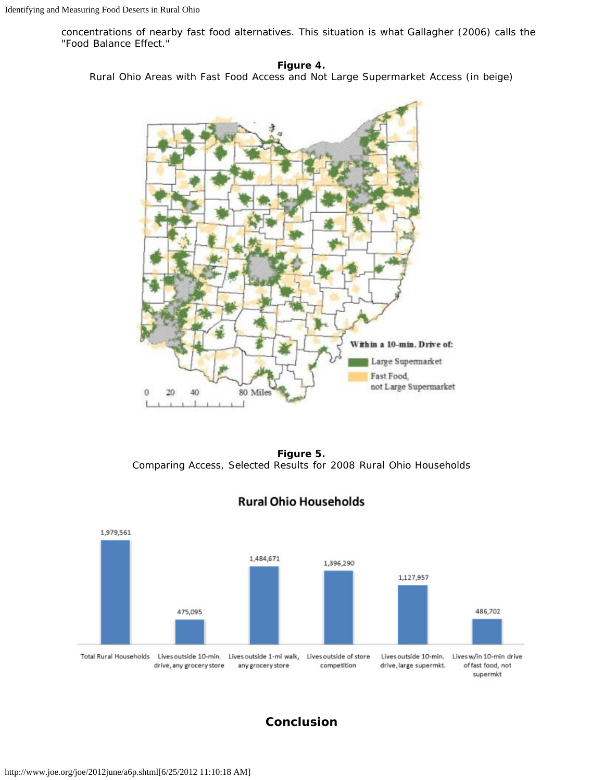concentrations of nearby fast food alternatives. This situation is what Gallagher (2006) calls the "Food Balance Effect."

**Figure 4.** Rural Ohio Areas with Fast Food Access and Not Large Supermarket Access (in beige)



**Figure 5.** Comparing Access, Selected Results for 2008 Rural Ohio Households



## **Rural Ohio Households**

**Conclusion**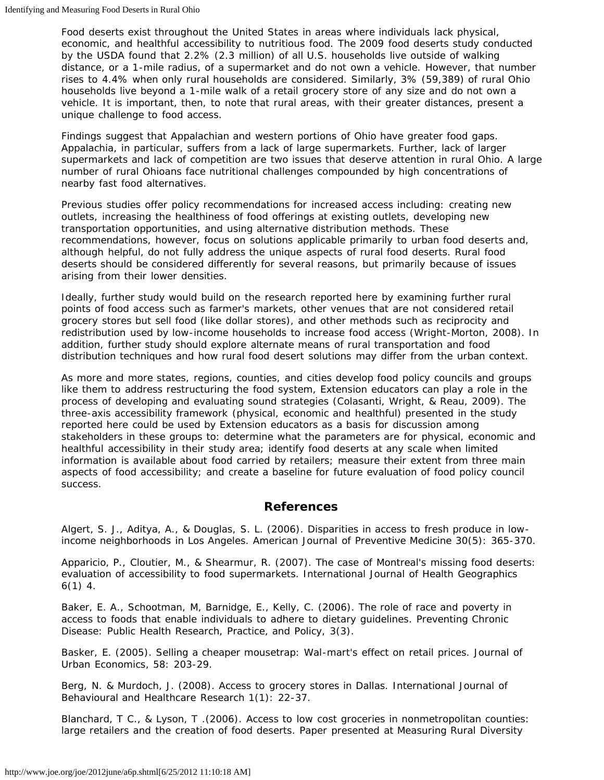Food deserts exist throughout the United States in areas where individuals lack physical, economic, and healthful accessibility to nutritious food. The 2009 food deserts study conducted by the USDA found that 2.2% (2.3 million) of all U.S. households live outside of walking distance, or a 1-mile radius, of a supermarket and do not own a vehicle. However, that number rises to 4.4% when only rural households are considered. Similarly, 3% (59,389) of rural Ohio households live beyond a 1-mile walk of a retail grocery store of any size and do not own a vehicle. It is important, then, to note that rural areas, with their greater distances, present a unique challenge to food access.

Findings suggest that Appalachian and western portions of Ohio have greater food gaps. Appalachia, in particular, suffers from a lack of large supermarkets. Further, lack of larger supermarkets and lack of competition are two issues that deserve attention in rural Ohio. A large number of rural Ohioans face nutritional challenges compounded by high concentrations of nearby fast food alternatives.

Previous studies offer policy recommendations for increased access including: creating new outlets, increasing the healthiness of food offerings at existing outlets, developing new transportation opportunities, and using alternative distribution methods. These recommendations, however, focus on solutions applicable primarily to urban food deserts and, although helpful, do not fully address the unique aspects of rural food deserts. Rural food deserts should be considered differently for several reasons, but primarily because of issues arising from their lower densities.

Ideally, further study would build on the research reported here by examining further rural points of food access such as farmer's markets, other venues that are not considered retail grocery stores but sell food (like dollar stores), and other methods such as reciprocity and redistribution used by low-income households to increase food access (Wright-Morton, 2008). In addition, further study should explore alternate means of rural transportation and food distribution techniques and how rural food desert solutions may differ from the urban context.

As more and more states, regions, counties, and cities develop food policy councils and groups like them to address restructuring the food system, Extension educators can play a role in the process of developing and evaluating sound strategies (Colasanti, Wright, & Reau, 2009). The three-axis accessibility framework (physical, economic and healthful) presented in the study reported here could be used by Extension educators as a basis for discussion among stakeholders in these groups to: determine what the parameters are for physical, economic and healthful accessibility in their study area; identify food deserts at any scale when limited information is available about food carried by retailers; measure their extent from three main aspects of food accessibility; and create a baseline for future evaluation of food policy council success.

### **References**

Algert, S. J., Aditya, A., & Douglas, S. L. (2006). Disparities in access to fresh produce in lowincome neighborhoods in Los Angeles. *American Journal of Preventive Medicine* 30(5): 365-370.

Apparicio, P., Cloutier, M., & Shearmur, R. (2007). The case of Montreal's missing food deserts: evaluation of accessibility to food supermarkets. *International Journal of Health Geographics* 6(1) 4.

Baker, E. A., Schootman, M, Barnidge, E., Kelly, C. (2006). The role of race and poverty in access to foods that enable individuals to adhere to dietary guidelines. *Preventing Chronic Disease: Public Health Research, Practice, and Policy,* 3(3).

Basker, E. (2005). Selling a cheaper mousetrap: Wal-mart's effect on retail prices. *Journal of Urban Economics*, 58: 203-29.

Berg, N. & Murdoch, J. (2008). Access to grocery stores in Dallas. *International Journal of Behavioural and Healthcare Research* 1(1): 22-37.

Blanchard, T C., & Lyson, T .(2006). Access to low cost groceries in nonmetropolitan counties: large retailers and the creation of food deserts. Paper presented at Measuring Rural Diversity